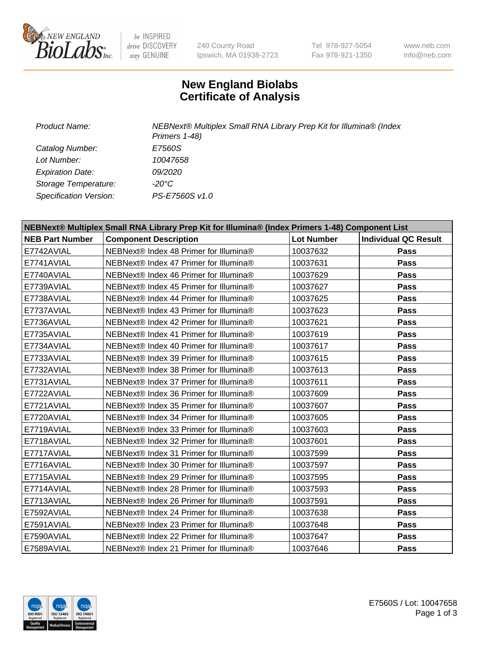

 $be$  INSPIRED drive DISCOVERY stay GENUINE

240 County Road Ipswich, MA 01938-2723 Tel 978-927-5054 Fax 978-921-1350 www.neb.com info@neb.com

## **New England Biolabs Certificate of Analysis**

| Product Name:           | NEBNext® Multiplex Small RNA Library Prep Kit for Illumina® (Index<br>Primers 1-48) |
|-------------------------|-------------------------------------------------------------------------------------|
| Catalog Number:         | E7560S                                                                              |
| Lot Number:             | 10047658                                                                            |
| <b>Expiration Date:</b> | <i>09/2020</i>                                                                      |
| Storage Temperature:    | -20°C                                                                               |
| Specification Version:  | PS-E7560S v1.0                                                                      |

| NEBNext® Multiplex Small RNA Library Prep Kit for Illumina® (Index Primers 1-48) Component List |                                        |                   |                             |  |
|-------------------------------------------------------------------------------------------------|----------------------------------------|-------------------|-----------------------------|--|
| <b>NEB Part Number</b>                                                                          | <b>Component Description</b>           | <b>Lot Number</b> | <b>Individual QC Result</b> |  |
| E7742AVIAL                                                                                      | NEBNext® Index 48 Primer for Illumina® | 10037632          | <b>Pass</b>                 |  |
| E7741AVIAL                                                                                      | NEBNext® Index 47 Primer for Illumina® | 10037631          | <b>Pass</b>                 |  |
| E7740AVIAL                                                                                      | NEBNext® Index 46 Primer for Illumina® | 10037629          | <b>Pass</b>                 |  |
| E7739AVIAL                                                                                      | NEBNext® Index 45 Primer for Illumina® | 10037627          | <b>Pass</b>                 |  |
| E7738AVIAL                                                                                      | NEBNext® Index 44 Primer for Illumina® | 10037625          | <b>Pass</b>                 |  |
| E7737AVIAL                                                                                      | NEBNext® Index 43 Primer for Illumina® | 10037623          | <b>Pass</b>                 |  |
| E7736AVIAL                                                                                      | NEBNext® Index 42 Primer for Illumina® | 10037621          | <b>Pass</b>                 |  |
| E7735AVIAL                                                                                      | NEBNext® Index 41 Primer for Illumina® | 10037619          | Pass                        |  |
| E7734AVIAL                                                                                      | NEBNext® Index 40 Primer for Illumina® | 10037617          | <b>Pass</b>                 |  |
| E7733AVIAL                                                                                      | NEBNext® Index 39 Primer for Illumina® | 10037615          | <b>Pass</b>                 |  |
| E7732AVIAL                                                                                      | NEBNext® Index 38 Primer for Illumina® | 10037613          | <b>Pass</b>                 |  |
| E7731AVIAL                                                                                      | NEBNext® Index 37 Primer for Illumina® | 10037611          | Pass                        |  |
| E7722AVIAL                                                                                      | NEBNext® Index 36 Primer for Illumina® | 10037609          | <b>Pass</b>                 |  |
| E7721AVIAL                                                                                      | NEBNext® Index 35 Primer for Illumina® | 10037607          | <b>Pass</b>                 |  |
| E7720AVIAL                                                                                      | NEBNext® Index 34 Primer for Illumina® | 10037605          | <b>Pass</b>                 |  |
| E7719AVIAL                                                                                      | NEBNext® Index 33 Primer for Illumina® | 10037603          | <b>Pass</b>                 |  |
| E7718AVIAL                                                                                      | NEBNext® Index 32 Primer for Illumina® | 10037601          | <b>Pass</b>                 |  |
| E7717AVIAL                                                                                      | NEBNext® Index 31 Primer for Illumina® | 10037599          | <b>Pass</b>                 |  |
| E7716AVIAL                                                                                      | NEBNext® Index 30 Primer for Illumina® | 10037597          | <b>Pass</b>                 |  |
| E7715AVIAL                                                                                      | NEBNext® Index 29 Primer for Illumina® | 10037595          | <b>Pass</b>                 |  |
| E7714AVIAL                                                                                      | NEBNext® Index 28 Primer for Illumina® | 10037593          | <b>Pass</b>                 |  |
| E7713AVIAL                                                                                      | NEBNext® Index 26 Primer for Illumina® | 10037591          | <b>Pass</b>                 |  |
| E7592AVIAL                                                                                      | NEBNext® Index 24 Primer for Illumina® | 10037638          | <b>Pass</b>                 |  |
| E7591AVIAL                                                                                      | NEBNext® Index 23 Primer for Illumina® | 10037648          | <b>Pass</b>                 |  |
| E7590AVIAL                                                                                      | NEBNext® Index 22 Primer for Illumina® | 10037647          | <b>Pass</b>                 |  |
| E7589AVIAL                                                                                      | NEBNext® Index 21 Primer for Illumina® | 10037646          | Pass                        |  |

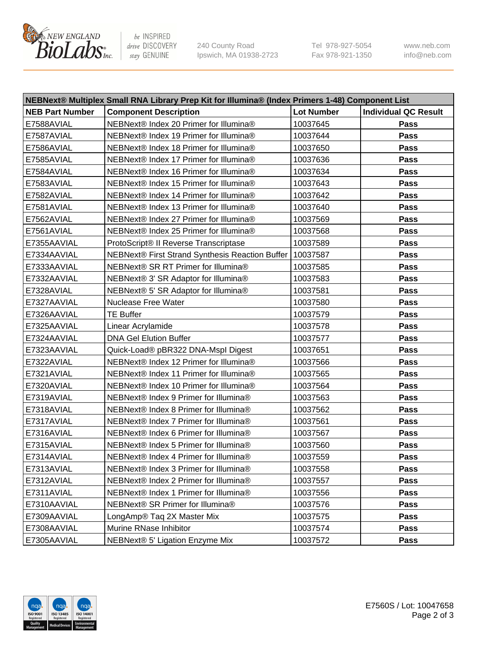

be INSPIRED drive DISCOVERY stay GENUINE

240 County Road Ipswich, MA 01938-2723 Tel 978-927-5054 Fax 978-921-1350 www.neb.com info@neb.com

| NEBNext® Multiplex Small RNA Library Prep Kit for Illumina® (Index Primers 1-48) Component List |                                                            |                   |                             |  |
|-------------------------------------------------------------------------------------------------|------------------------------------------------------------|-------------------|-----------------------------|--|
| <b>NEB Part Number</b>                                                                          | <b>Component Description</b>                               | <b>Lot Number</b> | <b>Individual QC Result</b> |  |
| E7588AVIAL                                                                                      | NEBNext® Index 20 Primer for Illumina®                     | 10037645          | Pass                        |  |
| E7587AVIAL                                                                                      | NEBNext® Index 19 Primer for Illumina®                     | 10037644          | Pass                        |  |
| E7586AVIAL                                                                                      | NEBNext® Index 18 Primer for Illumina®                     | 10037650          | Pass                        |  |
| E7585AVIAL                                                                                      | NEBNext® Index 17 Primer for Illumina®                     | 10037636          | Pass                        |  |
| E7584AVIAL                                                                                      | NEBNext® Index 16 Primer for Illumina®                     | 10037634          | Pass                        |  |
| E7583AVIAL                                                                                      | NEBNext® Index 15 Primer for Illumina®                     | 10037643          | Pass                        |  |
| E7582AVIAL                                                                                      | NEBNext® Index 14 Primer for Illumina®                     | 10037642          | Pass                        |  |
| E7581AVIAL                                                                                      | NEBNext® Index 13 Primer for Illumina®                     | 10037640          | Pass                        |  |
| E7562AVIAL                                                                                      | NEBNext® Index 27 Primer for Illumina®                     | 10037569          | Pass                        |  |
| E7561AVIAL                                                                                      | NEBNext® Index 25 Primer for Illumina®                     | 10037568          | Pass                        |  |
| E7355AAVIAL                                                                                     | ProtoScript® II Reverse Transcriptase                      | 10037589          | Pass                        |  |
| E7334AAVIAL                                                                                     | NEBNext® First Strand Synthesis Reaction Buffer   10037587 |                   | Pass                        |  |
| E7333AAVIAL                                                                                     | NEBNext® SR RT Primer for Illumina®                        | 10037585          | Pass                        |  |
| E7332AAVIAL                                                                                     | NEBNext® 3' SR Adaptor for Illumina®                       | 10037583          | Pass                        |  |
| E7328AVIAL                                                                                      | NEBNext® 5' SR Adaptor for Illumina®                       | 10037581          | Pass                        |  |
| E7327AAVIAL                                                                                     | <b>Nuclease Free Water</b>                                 | 10037580          | Pass                        |  |
| E7326AAVIAL                                                                                     | <b>TE Buffer</b>                                           | 10037579          | Pass                        |  |
| E7325AAVIAL                                                                                     | Linear Acrylamide                                          | 10037578          | Pass                        |  |
| E7324AAVIAL                                                                                     | <b>DNA Gel Elution Buffer</b>                              | 10037577          | Pass                        |  |
| E7323AAVIAL                                                                                     | Quick-Load® pBR322 DNA-Mspl Digest                         | 10037651          | Pass                        |  |
| E7322AVIAL                                                                                      | NEBNext® Index 12 Primer for Illumina®                     | 10037566          | Pass                        |  |
| E7321AVIAL                                                                                      | NEBNext® Index 11 Primer for Illumina®                     | 10037565          | Pass                        |  |
| E7320AVIAL                                                                                      | NEBNext® Index 10 Primer for Illumina®                     | 10037564          | Pass                        |  |
| E7319AVIAL                                                                                      | NEBNext® Index 9 Primer for Illumina®                      | 10037563          | Pass                        |  |
| E7318AVIAL                                                                                      | NEBNext® Index 8 Primer for Illumina®                      | 10037562          | Pass                        |  |
| E7317AVIAL                                                                                      | NEBNext® Index 7 Primer for Illumina®                      | 10037561          | Pass                        |  |
| E7316AVIAL                                                                                      | NEBNext® Index 6 Primer for Illumina®                      | 10037567          | Pass                        |  |
| E7315AVIAL                                                                                      | NEBNext® Index 5 Primer for Illumina®                      | 10037560          | Pass                        |  |
| E7314AVIAL                                                                                      | NEBNext® Index 4 Primer for Illumina®                      | 10037559          | <b>Pass</b>                 |  |
| E7313AVIAL                                                                                      | NEBNext® Index 3 Primer for Illumina®                      | 10037558          | Pass                        |  |
| E7312AVIAL                                                                                      | NEBNext® Index 2 Primer for Illumina®                      | 10037557          | <b>Pass</b>                 |  |
| E7311AVIAL                                                                                      | NEBNext® Index 1 Primer for Illumina®                      | 10037556          | Pass                        |  |
| E7310AAVIAL                                                                                     | NEBNext® SR Primer for Illumina®                           | 10037576          | Pass                        |  |
| E7309AAVIAL                                                                                     | LongAmp® Taq 2X Master Mix                                 | 10037575          | Pass                        |  |
| E7308AAVIAL                                                                                     | Murine RNase Inhibitor                                     | 10037574          | Pass                        |  |
| E7305AAVIAL                                                                                     | NEBNext® 5' Ligation Enzyme Mix                            | 10037572          | Pass                        |  |